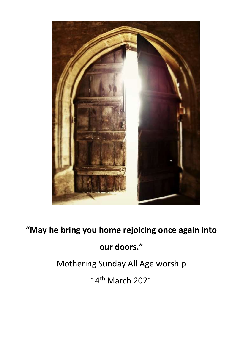

**"May he bring you home rejoicing once again into** 

# **our doors."**

Mothering Sunday All Age worship

14th March 2021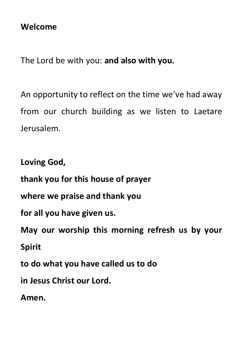## **Welcome**

The Lord be with you: **and also with you.**

An opportunity to reflect on the time we've had away from our church building as we listen to Laetare Jerusalem.

**Loving God,** 

**thank you for this house of prayer** 

**where we praise and thank you** 

**for all you have given us.** 

**May our worship this morning refresh us by your Spirit**

**to do what you have called us to do** 

**in Jesus Christ our Lord.** 

**Amen.**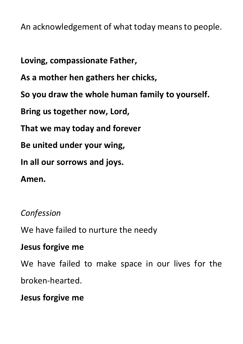An acknowledgement of what today means to people.

**Loving, compassionate Father,**

**As a mother hen gathers her chicks,**

**So you draw the whole human family to yourself.**

**Bring us together now, Lord,**

**That we may today and forever**

**Be united under your wing,**

**In all our sorrows and joys.**

**Amen.**

## *Confession*

We have failed to nurture the needy

#### **Jesus forgive me**

We have failed to make space in our lives for the broken-hearted.

#### **Jesus forgive me**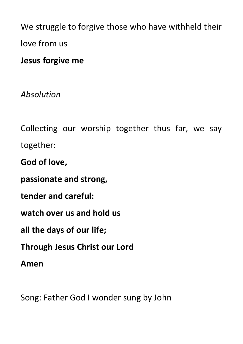We struggle to forgive those who have withheld their love from us

# **Jesus forgive me**

*Absolution*

Collecting our worship together thus far, we say together:

**God of love,** 

**passionate and strong,** 

**tender and careful:** 

**watch over us and hold us** 

**all the days of our life;** 

**Through Jesus Christ our Lord**

**Amen** 

Song: Father God I wonder sung by John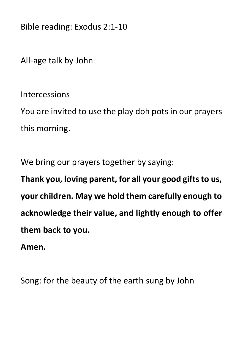Bible reading: Exodus 2:1-10

All-age talk by John

Intercessions

You are invited to use the play doh pots in our prayers this morning.

We bring our prayers together by saying:

**Thank you, loving parent, for all your good gifts to us, your children. May we hold them carefully enough to acknowledge their value, and lightly enough to offer them back to you.**

**Amen.**

Song: for the beauty of the earth sung by John